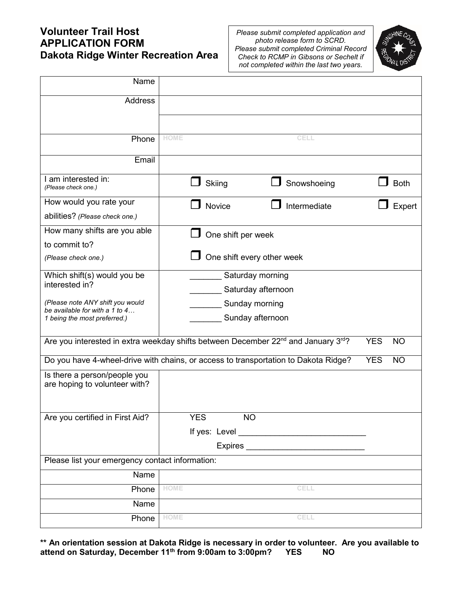# **Volunteer Trail Host APPLICATION FORM Dakota Ridge Winter Recreation Area**

*Please submit completed application and photo release form to SCRD. Please submit completed Criminal Record Check to RCMP in Gibsons or Sechelt if not completed within the last two years.*



| Name                                                               |                                                                                                            |                         |  |  |
|--------------------------------------------------------------------|------------------------------------------------------------------------------------------------------------|-------------------------|--|--|
| <b>Address</b>                                                     |                                                                                                            |                         |  |  |
|                                                                    |                                                                                                            |                         |  |  |
| Phone                                                              | <b>HOME</b><br>CELL                                                                                        |                         |  |  |
| Email                                                              |                                                                                                            |                         |  |  |
| I am interested in:<br>(Please check one.)                         | Snowshoeing<br>Skiing                                                                                      | <b>Both</b>             |  |  |
| How would you rate your                                            | Intermediate<br>Novice                                                                                     | Expert                  |  |  |
| abilities? (Please check one.)                                     |                                                                                                            |                         |  |  |
| How many shifts are you able                                       | One shift per week                                                                                         |                         |  |  |
| to commit to?                                                      |                                                                                                            |                         |  |  |
| (Please check one.)                                                | One shift every other week                                                                                 |                         |  |  |
| Which shift(s) would you be                                        | Saturday morning                                                                                           |                         |  |  |
| interested in?                                                     | Saturday afternoon                                                                                         |                         |  |  |
| (Please note ANY shift you would<br>be available for with a 1 to 4 | Sunday morning                                                                                             |                         |  |  |
| 1 being the most preferred.)                                       | Sunday afternoon                                                                                           |                         |  |  |
|                                                                    | Are you interested in extra weekday shifts between December 22 <sup>nd</sup> and January 3 <sup>rd</sup> ? | <b>YES</b><br><b>NO</b> |  |  |
|                                                                    | Do you have 4-wheel-drive with chains, or access to transportation to Dakota Ridge?                        | <b>YES</b><br><b>NO</b> |  |  |
| Is there a person/people you                                       |                                                                                                            |                         |  |  |
| are hoping to volunteer with?                                      |                                                                                                            |                         |  |  |
|                                                                    |                                                                                                            |                         |  |  |
| Are you certified in First Aid?                                    | <b>YES</b><br><b>NO</b>                                                                                    |                         |  |  |
|                                                                    |                                                                                                            |                         |  |  |
|                                                                    | Expires <b>Expires</b>                                                                                     |                         |  |  |
| Please list your emergency contact information:                    |                                                                                                            |                         |  |  |
| Name                                                               |                                                                                                            |                         |  |  |
| Phone                                                              | <b>HOME</b><br><b>CELL</b>                                                                                 |                         |  |  |
| Name                                                               |                                                                                                            |                         |  |  |
| Phone                                                              | <b>HOME</b><br>CELL                                                                                        |                         |  |  |

**\*\* An orientation session at Dakota Ridge is necessary in order to volunteer. Are you available to attend on Saturday, December 11th from 9:00am to 3:00pm? YES NO**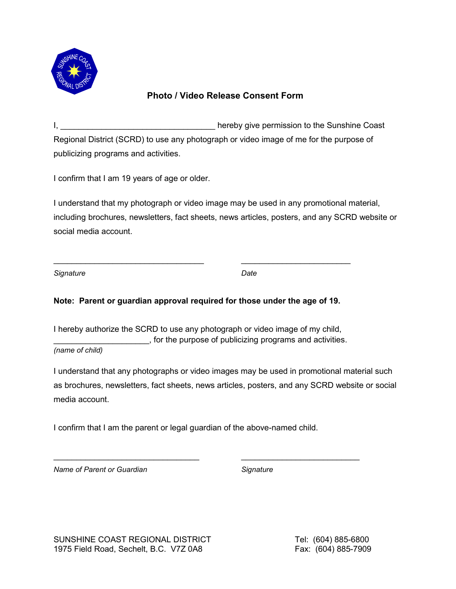

### **Photo / Video Release Consent Form**

I, **we argument of the Coast** end of the Sunshine Coast Regional District (SCRD) to use any photograph or video image of me for the purpose of publicizing programs and activities.

I confirm that I am 19 years of age or older.

I understand that my photograph or video image may be used in any promotional material, including brochures, newsletters, fact sheets, news articles, posters, and any SCRD website or social media account.

*Signature Date*

### **Note: Parent or guardian approval required for those under the age of 19.**

 $\_$  , and the set of the set of the set of the set of the set of the set of the set of the set of the set of the set of the set of the set of the set of the set of the set of the set of the set of the set of the set of th

I hereby authorize the SCRD to use any photograph or video image of my child, \_\_\_\_\_\_\_\_\_\_\_\_\_\_\_\_\_\_\_\_\_, for the purpose of publicizing programs and activities.

*(name of child)*

I understand that any photographs or video images may be used in promotional material such as brochures, newsletters, fact sheets, news articles, posters, and any SCRD website or social media account.

I confirm that I am the parent or legal guardian of the above-named child.

\_\_\_\_\_\_\_\_\_\_\_\_\_\_\_\_\_\_\_\_\_\_\_\_\_\_\_\_\_\_\_\_ \_\_\_\_\_\_\_\_\_\_\_\_\_\_\_\_\_\_\_\_\_\_\_\_\_\_

*Name of Parent or Guardian Signature*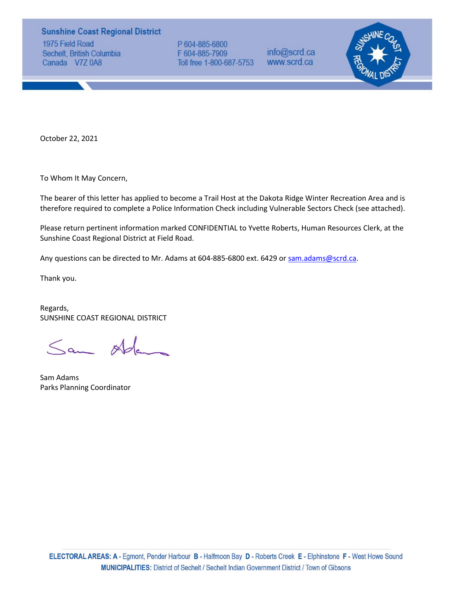### **Sunshine Coast Regional District**

1975 Field Road Sechelt, British Columbia Canada V7Z 0A8

P 604-885-6800 F 604-885-7909 Toll free 1-800-687-5753

info@scrd.ca www.scrd.ca



October 22, 2021

To Whom It May Concern,

The bearer of this letter has applied to become a Trail Host at the Dakota Ridge Winter Recreation Area and is therefore required to complete a Police Information Check including Vulnerable Sectors Check (see attached).

Please return pertinent information marked CONFIDENTIAL to Yvette Roberts, Human Resources Clerk, at the Sunshine Coast Regional District at Field Road.

Any questions can be directed to Mr. Adams at 604-885-6800 ext. 6429 or sam.adams@scrd.ca.

Thank you.

Regards, SUNSHINE COAST REGIONAL DISTRICT

Sam Ada

Sam Adams Parks Planning Coordinator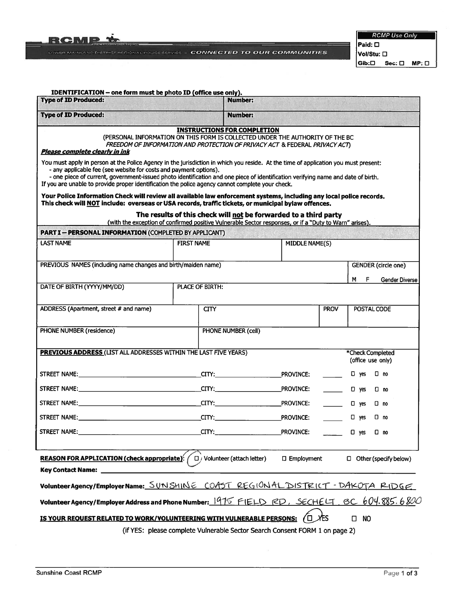

RCMP Use Only  $|$ Paid:  $\square$ 

Vol/Stu: D  $\overline{\textsf{Gib:}\square\quad \textsf{Sec:}\ \square\quad \textsf{MP:}\ \square}$ 

| IDENTIFICATION - one form must be photo ID (office use only).<br><b>Type of ID Produced:</b>                                                                                                                                                                                                                                                                                                                                                                                       |                   | <b>Number:</b>                                                                                                                                                                                     |                                 |                                       |                       |
|------------------------------------------------------------------------------------------------------------------------------------------------------------------------------------------------------------------------------------------------------------------------------------------------------------------------------------------------------------------------------------------------------------------------------------------------------------------------------------|-------------------|----------------------------------------------------------------------------------------------------------------------------------------------------------------------------------------------------|---------------------------------|---------------------------------------|-----------------------|
| <b>Type of ID Produced:</b>                                                                                                                                                                                                                                                                                                                                                                                                                                                        |                   | <b>Number:</b>                                                                                                                                                                                     |                                 |                                       |                       |
| Please complete clearly in ink<br>You must apply in person at the Police Agency in the jurisdiction in which you reside. At the time of application you must present:<br>- any applicable fee (see website for costs and payment options).<br>- one piece of current, government-issued photo identification and one piece of identification verifying name and date of birth.<br>If you are unable to provide proper identification the police agency cannot complete your check. |                   | <b>INSTRUCTIONS FOR COMPLETION</b><br>(PERSONAL INFORMATION ON THIS FORM IS COLLECTED UNDER THE AUTHORITY OF THE BC<br>FREEDOM OF INFORMATION AND PROTECTION OF PRIVACY ACT & FEDERAL PRIVACY ACT) |                                 |                                       |                       |
| Your Police Information Check will review all available law enforcement systems, including any local police records.<br>This check will NOT include: overseas or USA records, traffic tickets, or municipal bylaw offences.                                                                                                                                                                                                                                                        |                   |                                                                                                                                                                                                    |                                 |                                       |                       |
|                                                                                                                                                                                                                                                                                                                                                                                                                                                                                    |                   | The results of this check will not be forwarded to a third party<br>(with the exception of confirmed positive Vulnerable Sector responses, or if a "Duty to Warn" arises).                         |                                 |                                       |                       |
| <b>PART I - PERSONAL INFORMATION (COMPLETED BY APPLICANT)</b>                                                                                                                                                                                                                                                                                                                                                                                                                      |                   |                                                                                                                                                                                                    |                                 |                                       |                       |
| <b>LAST NAME</b>                                                                                                                                                                                                                                                                                                                                                                                                                                                                   | <b>FIRST NAME</b> | MIDDLE NAME(S)                                                                                                                                                                                     |                                 |                                       |                       |
| PREVIOUS NAMES (including name changes and birth/maiden name)                                                                                                                                                                                                                                                                                                                                                                                                                      |                   |                                                                                                                                                                                                    |                                 | <b>GENDER</b> (circle one)            |                       |
|                                                                                                                                                                                                                                                                                                                                                                                                                                                                                    |                   |                                                                                                                                                                                                    |                                 | M<br>E                                | <b>Gender Diverse</b> |
| DATE OF BIRTH (YYYY/MM/DD)                                                                                                                                                                                                                                                                                                                                                                                                                                                         | PLACE OF BIRTH:   |                                                                                                                                                                                                    |                                 |                                       |                       |
| ADDRESS (Apartment, street # and name)                                                                                                                                                                                                                                                                                                                                                                                                                                             | <b>CITY</b>       |                                                                                                                                                                                                    | <b>PROV</b>                     | POSTAL CODE                           |                       |
| PHONE NUMBER (residence)                                                                                                                                                                                                                                                                                                                                                                                                                                                           |                   | PHONE NUMBER (cell)                                                                                                                                                                                |                                 |                                       |                       |
| <b>PREVIOUS ADDRESS (LIST ALL ADDRESSES WITHIN THE LAST FIVE YEARS)</b>                                                                                                                                                                                                                                                                                                                                                                                                            |                   |                                                                                                                                                                                                    |                                 | *Check Completed<br>(office use only) |                       |
|                                                                                                                                                                                                                                                                                                                                                                                                                                                                                    |                   |                                                                                                                                                                                                    |                                 | $\square$ yes<br>□ no                 |                       |
|                                                                                                                                                                                                                                                                                                                                                                                                                                                                                    |                   |                                                                                                                                                                                                    | $\frac{1}{2}$ and $\frac{1}{2}$ | $\Box$ yes<br>□ no                    |                       |
|                                                                                                                                                                                                                                                                                                                                                                                                                                                                                    |                   |                                                                                                                                                                                                    |                                 | $\Box$ yes<br>$\square$ no            |                       |
| STREET NAME:                                                                                                                                                                                                                                                                                                                                                                                                                                                                       |                   |                                                                                                                                                                                                    |                                 | $\Box$ yes<br>$\square$ no            |                       |
|                                                                                                                                                                                                                                                                                                                                                                                                                                                                                    |                   | <b>CITY:</b> PROVINCE:                                                                                                                                                                             |                                 | □ yes □ no                            |                       |
| <b>REASON FOR APPLICATION (check appropriate):</b> $\left( \begin{array}{c} \Box \end{array} \right)$ Volunteer (attach letter)                                                                                                                                                                                                                                                                                                                                                    |                   | $\square$ Employment                                                                                                                                                                               |                                 | $\Box$ Other (specify below)          |                       |
| <b>Key Contact Name:</b>                                                                                                                                                                                                                                                                                                                                                                                                                                                           |                   |                                                                                                                                                                                                    |                                 |                                       |                       |
| VolunteerAgency/EmployerName: SUNSHINE COAST REGIONAL DISTRICT - DAKOTA RIDGE                                                                                                                                                                                                                                                                                                                                                                                                      |                   |                                                                                                                                                                                                    |                                 |                                       |                       |
| Volunteer Agency/Employer Address and Phone Number: 1975 FIELD RD, SECHELT BC 604.885.6800                                                                                                                                                                                                                                                                                                                                                                                         |                   |                                                                                                                                                                                                    |                                 |                                       |                       |
| IS YOUR REQUEST RELATED TO WORK/VOLUNTEERING WITH VULNERABLE PERSONS: ( $\square$ )                                                                                                                                                                                                                                                                                                                                                                                                |                   | (if YES: please complete Vulnerable Sector Search Consent FORM 1 on page 2)                                                                                                                        | ЖFS                             | $\square$ NO                          |                       |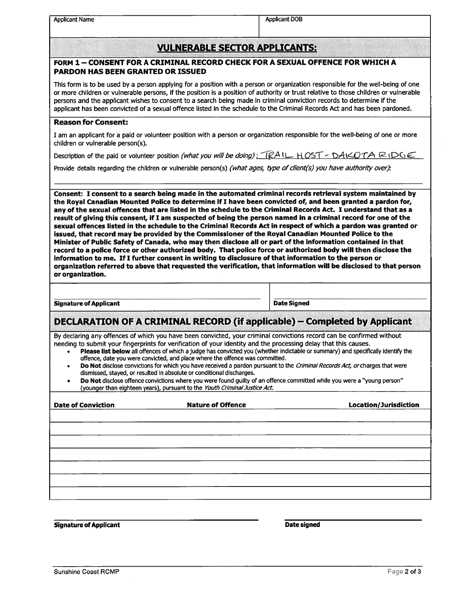Applicant Name Applicant DOB

## VULNERABLE SECTOR APPLICANTS:

#### FORM 1— CONSENT FOR A CRIMINAL RECORD CHECK FOR A SEXUAL OFFENCE FOR WHICH A PARDON HAS BEEN GRANTED OR ISSUED

This form is to be used by <sup>a</sup> person applying for <sup>a</sup> position with <sup>a</sup> person or organization responsible for the well-being of one or more children or vulnerable persons, if the position is <sup>a</sup> position of authority or trust relative to those children or vulnerable persons and the applicant wishes to consent to <sup>a</sup> search being made in criminal conviction records to determine if the applicant has been convicted of <sup>a</sup> sexual offence listed in the schedule to the Criminal Records Act and has been pardoned.

#### Reason for Consent:

I am an applicant for <sup>a</sup> paid or volunteer position with <sup>a</sup> person or organization responsible for the well-being of one or more children or vulnerable person(s).

Description of the paid or volunteer position (what you will be doing):  $RAL_HOST - DAKOTA$  . Refunction

Provide details regarding the children or vulnerable person(s) *(what ages, type of client(s) you have authority over)*:

Consent: I consent to <sup>a</sup> search being made in the automated criminal records retrieval system maintained by the Royal Canadian Mounted Police to determine if I have been convicted of, and been granted <sup>a</sup> pardon for, any of the sexual offences that are listed in the schedule to the Criminal Records Act. <sup>I</sup> understand that as <sup>a</sup> result of giving this consent, if I am suspected of being the person named in <sup>a</sup> criminal record for one of the sexual offences listed in the schedule to the Criminal Records Act in respec<sup>t</sup> of which <sup>a</sup> pardon was granted or issued, that record may be provided by the Commissioner of the Royal Canadian Mounted Police to the Minister of Public Safety of Canada, who may then disclose all or par<sup>t</sup> of the information contained in that record to <sup>a</sup> police force or other authorized body. That police force or authorized body will then disclose the information to me. If I further consent in writing to disclosure of that information to the person or organization referred to above that requested the verification, that information will be disclosed to that person or organization.

Signature of Applicant **Date Signed** Date Signed

# DECLARATION OF A CRIMINAL RECORD (if applicable) — Completed by Applicant

By declaring any offences of which you have been convicted, your criminal convictions record can be confirmed without needing to submit your fingerprints for verification of your identity and the processing delay that this causes.

- •Please list below all offences of which a judge has convicted you (whether indictable or summary) and specifically identify the offence, date you were convicted, and place where the offence was committed.
- •Do Not disclose convictions for which you have received a pardon pursuant to the *Criminal Records Act, or* charges that were dismissed, stayed, or resulted in absolute or conditional discharges.
- •**Do Not** disclose offence convictions where you were found guilty of an offence committed while you were a "young person" (younger than eighteen years), pursuant to the Youth Criminal Justice Act.

| <b>Date of Conviction</b> | <b>Nature of Offence</b> | Location/Jurisdiction |
|---------------------------|--------------------------|-----------------------|
|                           |                          |                       |
|                           |                          |                       |
|                           |                          |                       |
|                           |                          |                       |
|                           |                          |                       |
|                           |                          |                       |
|                           |                          |                       |
|                           |                          |                       |

Signature of Applicant Date signed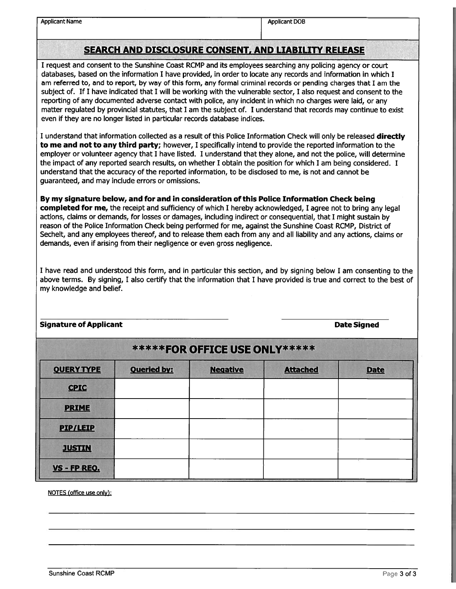Applicant Name Applicant DOB

# SEARCH AND DISCLOSURE CONSENT, AND LIABILITY RELEASE

<sup>I</sup> reques<sup>t</sup> and consent to the Sunshine Coast RCMP and its employees searching any policing agency or court databases, based on the information I have provided, in order to locate any records and information in which I am referred to, and to report, by way of this form, any formal criminal records or pending charges that I am the subject of. If <sup>I</sup> have indicated that <sup>I</sup> will be working with the vulnerable sector, <sup>I</sup> also reques<sup>t</sup> and consent to the reporting of any documented adverse contact with police, any incident in which no charges were laid, or any matter regulated by provincial statutes, that <sup>I</sup> am the subject of. <sup>I</sup> understand that records may continue to exist even if they are no longer listed in particular records database indices.

I understand that information collected as a result of this Police Information Check will only be released **directly** to me and not to any third party; however, I specifically intend to provide the reported information to the employer or volunteer agency that I have listed. I understand that they alone, and not the police, will determine the impact of any reported search results, on whether I obtain the position for which I am being considered. I understand that the accuracy of the reported information, to be disclosed to me, is not and cannot be guaranteed, and may include errors or omissions.

By my signature below, and for and in consideration of this Police Information Check being completed for me, the receipt and sufficiency of which I hereby acknowledged, I agree not to bring any legal actions, claims or demands, for losses or damages, including indirect or consequential, that <sup>I</sup> might sustain by reason of the Police Information Check being performed for me, against the Sunshine Coast RCMP, District of Sechelt, and any employees thereof, and to release them each from any and all liability and any actions, claims or demands, even if arising from their negligence or even gross negligence.

I have read and understood this form, and in particular this section, and by signing below I am consenting to the above terms. By signing, I also certify that the information that I have provided is true and correct to the best of my knowledge and belief.

### Signature of Applicant Date Signed

| ******FOR OFFICE USE ONLY***** |                    |                 |                 |             |
|--------------------------------|--------------------|-----------------|-----------------|-------------|
| <b>QUERY TYPE</b>              | <b>Queried by:</b> | <b>Negative</b> | <b>Attached</b> | <b>Date</b> |
| <b>CPIC</b>                    |                    |                 |                 |             |
| <b>PRIME</b>                   |                    |                 |                 |             |
| <b>PIP/LEIP</b>                |                    |                 |                 |             |
| <b>JUSTIN</b>                  |                    |                 |                 |             |
| VS - FP REQ.                   |                    |                 |                 |             |

NOTES (office use only):